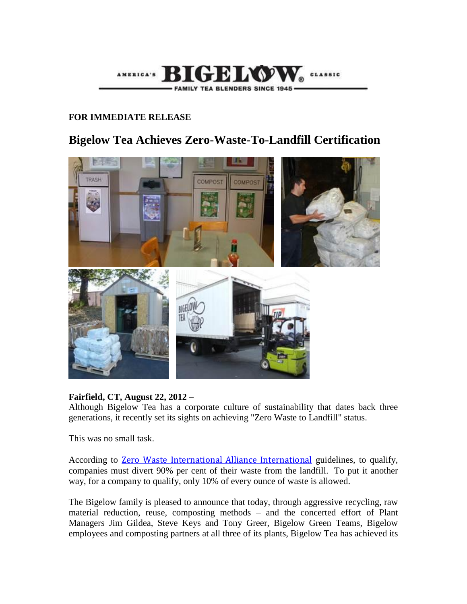

## **FOR IMMEDIATE RELEASE**

# **Bigelow Tea Achieves Zero-Waste-To-Landfill Certification**



### **Fairfield, CT, August 22, 2012 –**

Although Bigelow Tea has a corporate culture of sustainability that dates back three generations, it recently set its sights on achieving "Zero Waste to Landfill" status.

This was no small task.

According to [Zero Waste International Alliance International](http://www.zwia.org/) guidelines, to qualify, companies must divert 90% per cent of their waste from the landfill. To put it another way, for a company to qualify, only 10% of every ounce of waste is allowed.

The Bigelow family is pleased to announce that today, through aggressive recycling, raw material reduction, reuse, composting methods – and the concerted effort of Plant Managers Jim Gildea, Steve Keys and Tony Greer, Bigelow Green Teams, Bigelow employees and composting partners at all three of its plants, Bigelow Tea has achieved its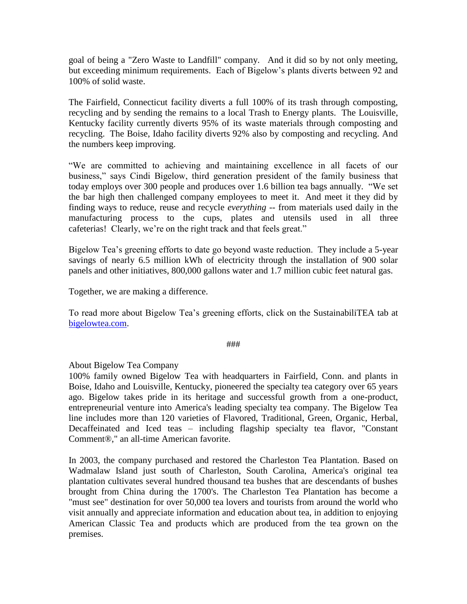goal of being a "Zero Waste to Landfill" company. And it did so by not only meeting, but exceeding minimum requirements. Each of Bigelow's plants diverts between 92 and 100% of solid waste.

The Fairfield, Connecticut facility diverts a full 100% of its trash through composting, recycling and by sending the remains to a local Trash to Energy plants. The Louisville, Kentucky facility currently diverts 95% of its waste materials through composting and recycling. The Boise, Idaho facility diverts 92% also by composting and recycling. And the numbers keep improving.

"We are committed to achieving and maintaining excellence in all facets of our business," says Cindi Bigelow, third generation president of the family business that today employs over 300 people and produces over 1.6 billion tea bags annually. "We set the bar high then challenged company employees to meet it. And meet it they did by finding ways to reduce, reuse and recycle *everything* -- from materials used daily in the manufacturing process to the cups, plates and utensils used in all three cafeterias! Clearly, we're on the right track and that feels great."

Bigelow Tea's greening efforts to date go beyond waste reduction. They include a 5-year savings of nearly 6.5 million kWh of electricity through the installation of 900 solar panels and other initiatives, 800,000 gallons water and 1.7 million cubic feet natural gas.

Together, we are making a difference.

To read more about Bigelow Tea's greening efforts, click on the SustainabiliTEA tab at [bigelowtea.com.](bigelowtea.com)

#### ###

#### About Bigelow Tea Company

100% family owned Bigelow Tea with headquarters in Fairfield, Conn. and plants in Boise, Idaho and Louisville, Kentucky, pioneered the specialty tea category over 65 years ago. Bigelow takes pride in its heritage and successful growth from a one-product, entrepreneurial venture into America's leading specialty tea company. The Bigelow Tea line includes more than 120 varieties of Flavored, Traditional, Green, Organic, Herbal, Decaffeinated and Iced teas – including flagship specialty tea flavor, "Constant Comment®," an all-time American favorite.

In 2003, the company purchased and restored the Charleston Tea Plantation. Based on Wadmalaw Island just south of Charleston, South Carolina, America's original tea plantation cultivates several hundred thousand tea bushes that are descendants of bushes brought from China during the 1700's. The Charleston Tea Plantation has become a "must see" destination for over 50,000 tea lovers and tourists from around the world who visit annually and appreciate information and education about tea, in addition to enjoying American Classic Tea and products which are produced from the tea grown on the premises.